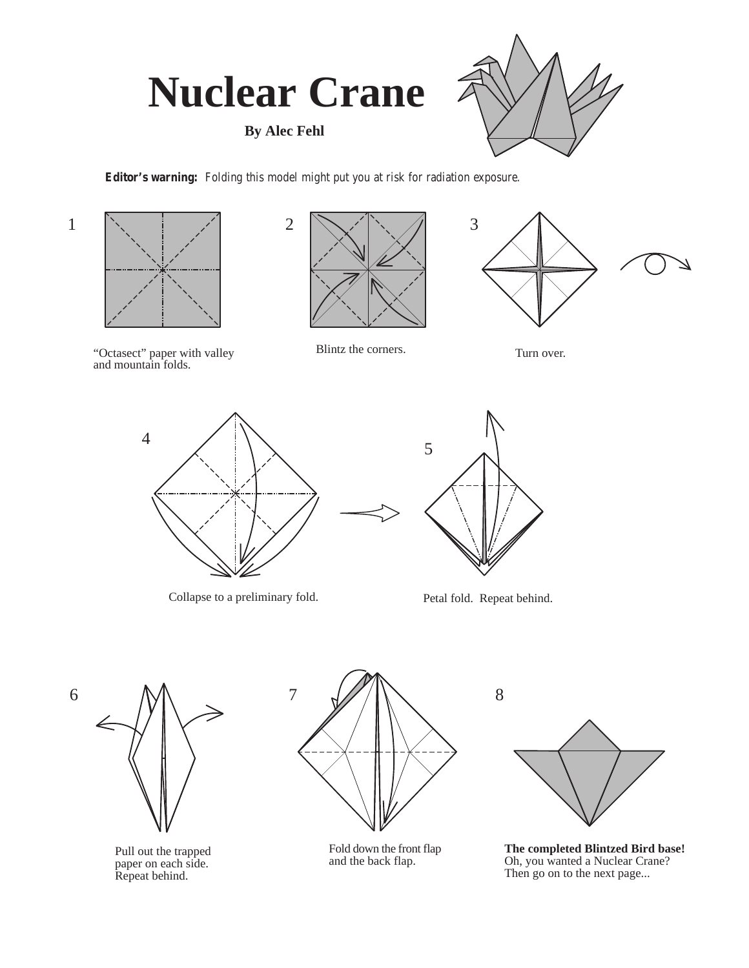

**By Alec Fehl**



**Editor's warning:** Folding this model might put you at risk for radiation exposure.







"Octasect" paper with valley and mountain folds.

Blintz the corners. Turn over.



Collapse to a preliminary fold. <br>
Petal fold. Repeat behind.





Pull out the trapped paper on each side. Repeat behind.



Fold down the front flap and the back flap.



**The completed Blintzed Bird base!** Oh, you wanted a Nuclear Crane? Then go on to the next page...